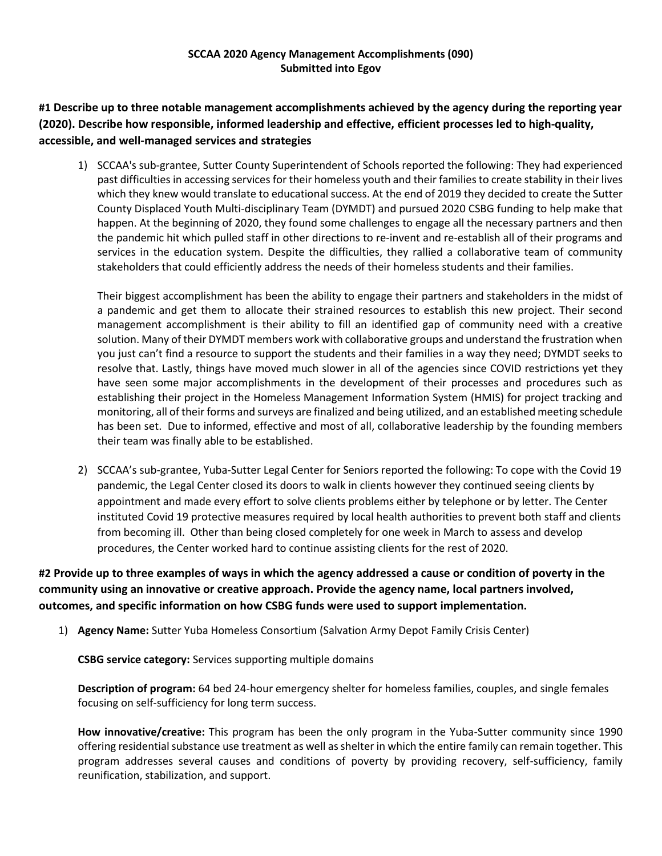## **SCCAA 2020 Agency Management Accomplishments (090) Submitted into Egov**

**#1 Describe up to three notable management accomplishments achieved by the agency during the reporting year (2020). Describe how responsible, informed leadership and effective, efficient processes led to high‐quality, accessible, and well‐managed services and strategies**

1) SCCAA's sub-grantee, Sutter County Superintendent of Schools reported the following: They had experienced past difficulties in accessing services for their homeless youth and their families to create stability in their lives which they knew would translate to educational success. At the end of 2019 they decided to create the Sutter County Displaced Youth Multi-disciplinary Team (DYMDT) and pursued 2020 CSBG funding to help make that happen. At the beginning of 2020, they found some challenges to engage all the necessary partners and then the pandemic hit which pulled staff in other directions to re-invent and re-establish all of their programs and services in the education system. Despite the difficulties, they rallied a collaborative team of community stakeholders that could efficiently address the needs of their homeless students and their families.

Their biggest accomplishment has been the ability to engage their partners and stakeholders in the midst of a pandemic and get them to allocate their strained resources to establish this new project. Their second management accomplishment is their ability to fill an identified gap of community need with a creative solution. Many of their DYMDT members work with collaborative groups and understand the frustration when you just can't find a resource to support the students and their families in a way they need; DYMDT seeks to resolve that. Lastly, things have moved much slower in all of the agencies since COVID restrictions yet they have seen some major accomplishments in the development of their processes and procedures such as establishing their project in the Homeless Management Information System (HMIS) for project tracking and monitoring, all of their forms and surveys are finalized and being utilized, and an established meeting schedule has been set. Due to informed, effective and most of all, collaborative leadership by the founding members their team was finally able to be established.

2) SCCAA's sub-grantee, Yuba-Sutter Legal Center for Seniors reported the following: To cope with the Covid 19 pandemic, the Legal Center closed its doors to walk in clients however they continued seeing clients by appointment and made every effort to solve clients problems either by telephone or by letter. The Center instituted Covid 19 protective measures required by local health authorities to prevent both staff and clients from becoming ill. Other than being closed completely for one week in March to assess and develop procedures, the Center worked hard to continue assisting clients for the rest of 2020.

# **#2 Provide up to three examples of ways in which the agency addressed a cause or condition of poverty in the community using an innovative or creative approach. Provide the agency name, local partners involved, outcomes, and specific information on how CSBG funds were used to support implementation.**

1) **Agency Name:** Sutter Yuba Homeless Consortium (Salvation Army Depot Family Crisis Center)

**CSBG service category:** Services supporting multiple domains

**Description of program:** 64 bed 24-hour emergency shelter for homeless families, couples, and single females focusing on self-sufficiency for long term success.

**How innovative/creative:** This program has been the only program in the Yuba-Sutter community since 1990 offering residential substance use treatment as well as shelter in which the entire family can remain together. This program addresses several causes and conditions of poverty by providing recovery, self-sufficiency, family reunification, stabilization, and support.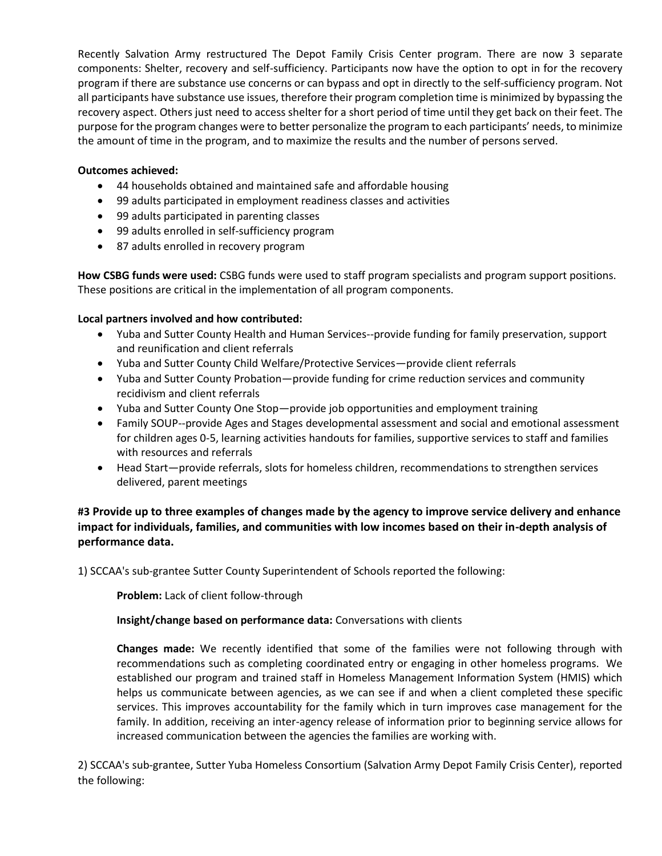Recently Salvation Army restructured The Depot Family Crisis Center program. There are now 3 separate components: Shelter, recovery and self-sufficiency. Participants now have the option to opt in for the recovery program if there are substance use concerns or can bypass and opt in directly to the self-sufficiency program. Not all participants have substance use issues, therefore their program completion time is minimized by bypassing the recovery aspect. Others just need to access shelter for a short period of time until they get back on their feet. The purpose for the program changes were to better personalize the program to each participants' needs, to minimize the amount of time in the program, and to maximize the results and the number of persons served.

### **Outcomes achieved:**

- 44 households obtained and maintained safe and affordable housing
- 99 adults participated in employment readiness classes and activities
- 99 adults participated in parenting classes
- 99 adults enrolled in self-sufficiency program
- 87 adults enrolled in recovery program

**How CSBG funds were used:** CSBG funds were used to staff program specialists and program support positions. These positions are critical in the implementation of all program components.

### **Local partners involved and how contributed:**

- Yuba and Sutter County Health and Human Services--provide funding for family preservation, support and reunification and client referrals
- Yuba and Sutter County Child Welfare/Protective Services—provide client referrals
- Yuba and Sutter County Probation—provide funding for crime reduction services and community recidivism and client referrals
- Yuba and Sutter County One Stop—provide job opportunities and employment training
- Family SOUP--provide Ages and Stages developmental assessment and social and emotional assessment for children ages 0-5, learning activities handouts for families, supportive services to staff and families with resources and referrals
- Head Start—provide referrals, slots for homeless children, recommendations to strengthen services delivered, parent meetings

**#3 Provide up to three examples of changes made by the agency to improve service delivery and enhance impact for individuals, families, and communities with low incomes based on their in-depth analysis of performance data.**

1) SCCAA's sub-grantee Sutter County Superintendent of Schools reported the following:

**Problem:** Lack of client follow-through

**Insight/change based on performance data:** Conversations with clients

**Changes made:** We recently identified that some of the families were not following through with recommendations such as completing coordinated entry or engaging in other homeless programs. We established our program and trained staff in Homeless Management Information System (HMIS) which helps us communicate between agencies, as we can see if and when a client completed these specific services. This improves accountability for the family which in turn improves case management for the family. In addition, receiving an inter-agency release of information prior to beginning service allows for increased communication between the agencies the families are working with.

2) SCCAA's sub-grantee, Sutter Yuba Homeless Consortium (Salvation Army Depot Family Crisis Center), reported the following: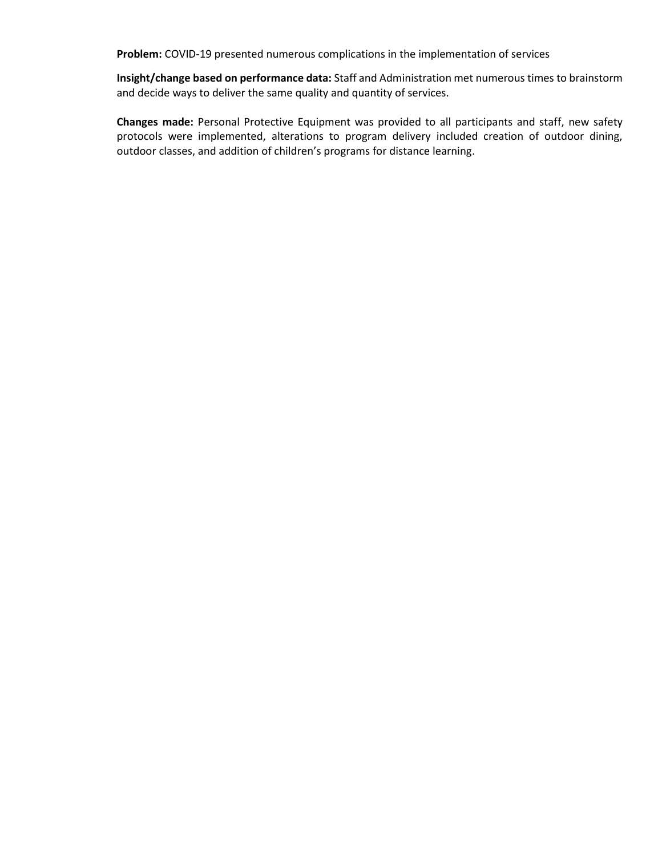**Problem:** COVID-19 presented numerous complications in the implementation of services

**Insight/change based on performance data:** Staff and Administration met numerous times to brainstorm and decide ways to deliver the same quality and quantity of services.

**Changes made:** Personal Protective Equipment was provided to all participants and staff, new safety protocols were implemented, alterations to program delivery included creation of outdoor dining, outdoor classes, and addition of children's programs for distance learning.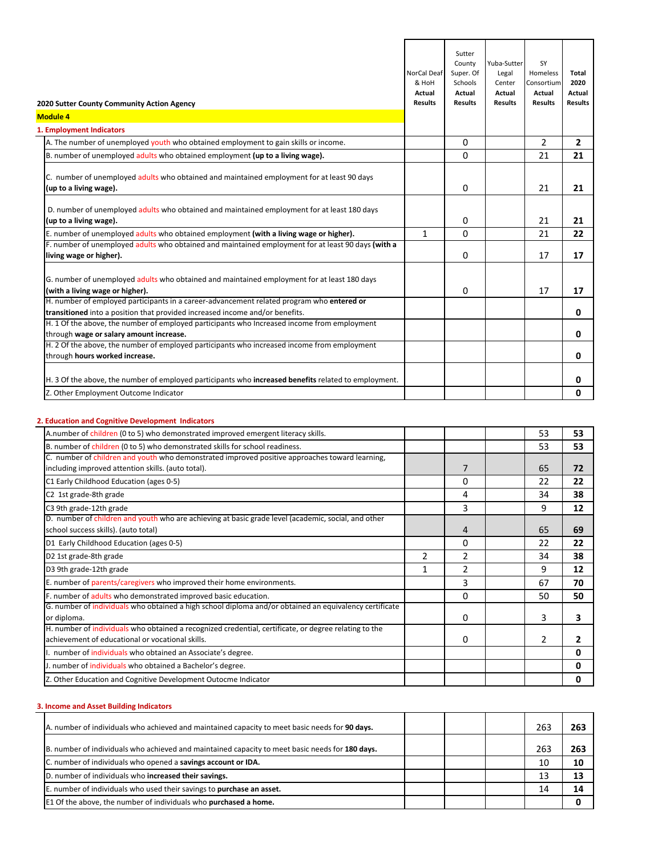| 2020 Sutter County Community Action Agency<br><b>Module 4</b><br>1. Employment Indicators                                                                                 | NorCal Deaf<br>& HoH<br>Actual<br><b>Results</b> | Sutter<br>County<br>Super. Of<br>Schools<br>Actual<br><b>Results</b> | Yuba-Sutter<br>Legal<br>Center<br>Actual<br><b>Results</b> | SY<br>Homeless<br>Consortium<br>Actual<br><b>Results</b> | Total<br>2020<br>Actual<br><b>Results</b> |
|---------------------------------------------------------------------------------------------------------------------------------------------------------------------------|--------------------------------------------------|----------------------------------------------------------------------|------------------------------------------------------------|----------------------------------------------------------|-------------------------------------------|
| A. The number of unemployed youth who obtained employment to gain skills or income.                                                                                       |                                                  | 0                                                                    |                                                            | $\mathcal{P}$                                            | $\overline{2}$                            |
| B. number of unemployed adults who obtained employment (up to a living wage).                                                                                             |                                                  | $\Omega$                                                             |                                                            | 21                                                       | 21                                        |
| C. number of unemployed adults who obtained and maintained employment for at least 90 days<br>(up to a living wage).                                                      |                                                  | $\Omega$                                                             |                                                            | 21                                                       | 21                                        |
| D. number of unemployed adults who obtained and maintained employment for at least 180 days<br>(up to a living wage).                                                     |                                                  | 0                                                                    |                                                            | 21                                                       | 21                                        |
| E. number of unemployed adults who obtained employment (with a living wage or higher).                                                                                    | $\mathbf{1}$                                     | $\Omega$                                                             |                                                            | 21                                                       | 22                                        |
| F. number of unemployed adults who obtained and maintained employment for at least 90 days (with a<br>living wage or higher).                                             |                                                  | $\Omega$                                                             |                                                            | 17                                                       | 17                                        |
| G. number of unemployed adults who obtained and maintained employment for at least 180 days<br>(with a living wage or higher).                                            |                                                  | 0                                                                    |                                                            | 17                                                       | 17                                        |
| H. number of employed participants in a career-advancement related program who entered or<br>transitioned into a position that provided increased income and/or benefits. |                                                  |                                                                      |                                                            |                                                          | 0                                         |
| H. 1 Of the above, the number of employed participants who Increased income from employment<br>through wage or salary amount increase.                                    |                                                  |                                                                      |                                                            |                                                          | 0                                         |
| H. 2 Of the above, the number of employed participants who increased income from employment<br>through hours worked increase.                                             |                                                  |                                                                      |                                                            |                                                          | 0                                         |
| H. 3 Of the above, the number of employed participants who increased benefits related to employment.                                                                      |                                                  |                                                                      |                                                            |                                                          | 0                                         |
| Z. Other Employment Outcome Indicator                                                                                                                                     |                                                  |                                                                      |                                                            |                                                          | 0                                         |

# **2. Education and Cognitive Development Indicators**

| A.number of children (0 to 5) who demonstrated improved emergent literacy skills.                      |   |   | 53             | 53 |
|--------------------------------------------------------------------------------------------------------|---|---|----------------|----|
| B. number of children (0 to 5) who demonstrated skills for school readiness.                           |   |   | 53             | 53 |
| C. number of children and youth who demonstrated improved positive approaches toward learning,         |   |   |                |    |
| including improved attention skills. (auto total).                                                     |   | 7 | 65             | 72 |
| C1 Early Childhood Education (ages 0-5)                                                                |   | 0 | 22             | 22 |
| C2 1st grade-8th grade                                                                                 |   | 4 | 34             | 38 |
| C3 9th grade-12th grade                                                                                |   | 3 | 9              | 12 |
| D. number of children and youth who are achieving at basic grade level (academic, social, and other    |   |   |                |    |
| school success skills). (auto total)                                                                   |   | 4 | 65             | 69 |
| D1 Early Childhood Education (ages 0-5)                                                                |   | 0 | 22             | 22 |
| D2 1st grade-8th grade                                                                                 | 2 | 2 | 34             | 38 |
| D3 9th grade-12th grade                                                                                |   | 2 | 9              | 12 |
| E. number of parents/caregivers who improved their home environments.                                  |   | 3 | 67             | 70 |
| F. number of adults who demonstrated improved basic education.                                         |   | 0 | 50             | 50 |
| G. number of individuals who obtained a high school diploma and/or obtained an equivalency certificate |   |   |                |    |
| or diploma.                                                                                            |   | 0 | 3              | 3  |
| H. number of individuals who obtained a recognized credential, certificate, or degree relating to the  |   |   |                |    |
| achievement of educational or vocational skills.                                                       |   | 0 | $\overline{2}$ | 2  |
| number of individuals who obtained an Associate's degree.                                              |   |   |                | 0  |
| J. number of individuals who obtained a Bachelor's degree.                                             |   |   |                | 0  |
| Z. Other Education and Cognitive Development Outocme Indicator                                         |   |   |                | 0  |

# **3. Income and Asset Building Indicators**

| A. number of individuals who achieved and maintained capacity to meet basic needs for 90 days.  |  | 263 | 263 |
|-------------------------------------------------------------------------------------------------|--|-----|-----|
| B. number of individuals who achieved and maintained capacity to meet basic needs for 180 days. |  | 263 | 263 |
| C. number of individuals who opened a savings account or IDA.                                   |  | 10  |     |
| D. number of individuals who increased their savings.                                           |  | 13  |     |
| E. number of individuals who used their savings to purchase an asset.                           |  | 14  |     |
| E1 Of the above, the number of individuals who purchased a home.                                |  |     |     |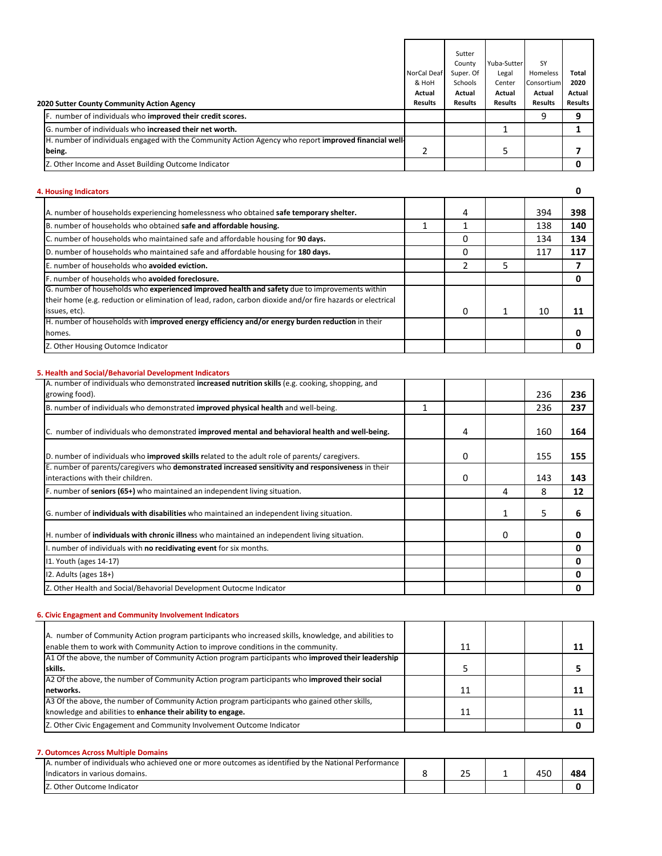|                                                                                                      |                | Sutter         |                |                |                |
|------------------------------------------------------------------------------------------------------|----------------|----------------|----------------|----------------|----------------|
|                                                                                                      |                | County         | Yuba-Sutter    | SY             |                |
|                                                                                                      | NorCal Deaf    | Super. Of      | Legal          | Homeless       | Total          |
|                                                                                                      | & HoH          | Schools        | Center         | Consortium     | 2020           |
|                                                                                                      | Actual         | Actual         | Actual         | Actual         | Actual         |
| 2020 Sutter County Community Action Agency                                                           | <b>Results</b> | <b>Results</b> | <b>Results</b> | <b>Results</b> | <b>Results</b> |
| F. number of individuals who improved their credit scores.                                           |                |                |                | 9              | 9              |
| G. number of individuals who increased their net worth.                                              |                |                |                |                |                |
| H. number of individuals engaged with the Community Action Agency who report improved financial well |                |                |                |                |                |
| being.                                                                                               |                |                | 5              |                |                |
| Z. Other Income and Asset Building Outcome Indicator                                                 |                |                |                |                |                |

# **4. Housing Indicators**

**0**

| A. number of households experiencing homelessness who obtained safe temporary shelter.                                                                                                                      | 4 | 394 | 398 |
|-------------------------------------------------------------------------------------------------------------------------------------------------------------------------------------------------------------|---|-----|-----|
| B. number of households who obtained safe and affordable housing.                                                                                                                                           |   | 138 | 140 |
| C. number of households who maintained safe and affordable housing for 90 days.                                                                                                                             | 0 | 134 | 134 |
| D. number of households who maintained safe and affordable housing for 180 days.                                                                                                                            | 0 | 117 | 117 |
| E. number of households who avoided eviction.                                                                                                                                                               |   |     |     |
| F. number of households who avoided foreclosure.                                                                                                                                                            |   |     |     |
| G. number of households who experienced improved health and safety due to improvements within<br>their home (e.g. reduction or elimination of lead, radon, carbon dioxide and/or fire hazards or electrical |   |     |     |
| issues, etc).                                                                                                                                                                                               | 0 | 10  | 11  |
| H. number of households with improved energy efficiency and/or energy burden reduction in their                                                                                                             |   |     |     |
| homes.                                                                                                                                                                                                      |   |     |     |
| Z. Other Housing Outomce Indicator                                                                                                                                                                          |   |     |     |

#### **5. Health and Social/Behavorial Development Indicators**

| A. number of individuals who demonstrated increased nutrition skills (e.g. cooking, shopping, and   |   |   |          |     |     |
|-----------------------------------------------------------------------------------------------------|---|---|----------|-----|-----|
| growing food).                                                                                      |   |   |          | 236 | 236 |
| B. number of individuals who demonstrated improved physical health and well-being.                  | 1 |   |          | 236 | 237 |
|                                                                                                     |   |   |          |     |     |
| C. number of individuals who demonstrated improved mental and behavioral health and well-being.     |   | 4 |          | 160 | 164 |
| D. number of individuals who improved skills related to the adult role of parents/caregivers.       |   | 0 |          | 155 | 155 |
| E. number of parents/caregivers who demonstrated increased sensitivity and responsiveness in their  |   |   |          |     |     |
| interactions with their children.                                                                   |   | 0 |          | 143 | 143 |
| F. number of seniors (65+) who maintained an independent living situation.                          |   |   | 4        | 8   | 12  |
| G. number of <b>individuals with disabilities</b> who maintained an independent living situation.   |   |   |          | 5.  | 6   |
| H. number of <b>individuals with chronic illnes</b> who maintained an independent living situation. |   |   | $\Omega$ |     | 0   |
| I. number of individuals with no recidivating event for six months.                                 |   |   |          |     | 0   |
| 11. Youth (ages 14-17)                                                                              |   |   |          |     | 0   |
| $12.$ Adults (ages $18+$ )                                                                          |   |   |          |     | 0   |
| Z. Other Health and Social/Behavorial Development Outocme Indicator                                 |   |   |          |     | 0   |

## **6. Civic Engagment and Community Involvement Indicators**

| A. number of Community Action program participants who increased skills, knowledge, and abilities to |    |  |  |
|------------------------------------------------------------------------------------------------------|----|--|--|
| enable them to work with Community Action to improve conditions in the community.                    | 11 |  |  |
| A1 Of the above, the number of Community Action program participants who improved their leadership   |    |  |  |
| skills.                                                                                              |    |  |  |
| A2 Of the above, the number of Community Action program participants who improved their social       |    |  |  |
| networks.                                                                                            | 11 |  |  |
| A3 Of the above, the number of Community Action program participants who gained other skills,        |    |  |  |
| knowledge and abilities to enhance their ability to engage.                                          | 11 |  |  |
| Z. Other Civic Engagement and Community Involvement Outcome Indicator                                |    |  |  |

### **7. Outomces Across Multiple Domains**

| number of individuals who achieved one or more outcomes as identified by the National Performance |          |              |     |
|---------------------------------------------------------------------------------------------------|----------|--------------|-----|
| 'icators in various domains.<br>Indi                                                              | --<br>-- | $- -$<br>، ل | 484 |
| Other Outcome Indicator                                                                           |          |              |     |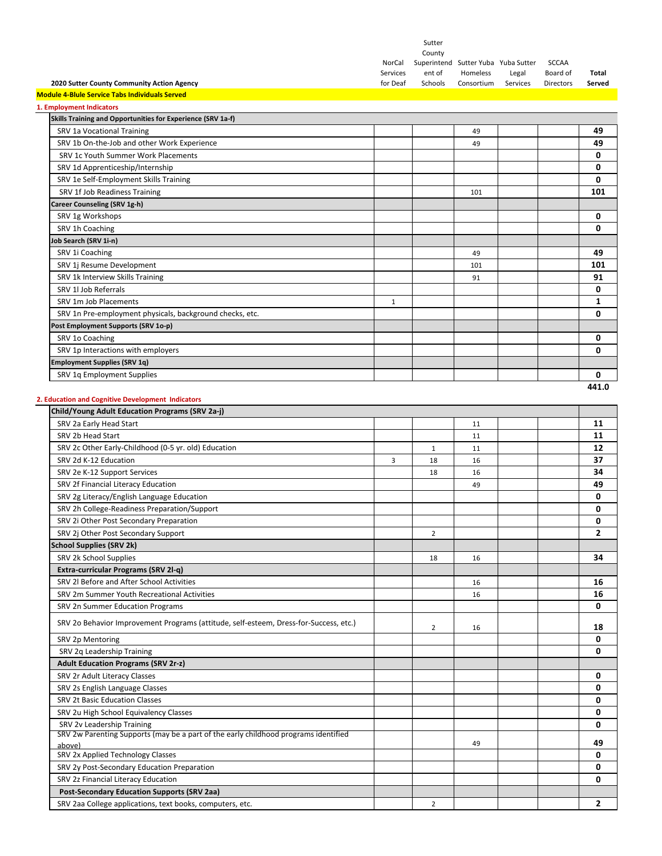|                                                                                       |                      | Sutter            |                                     |                   |                       |                 |
|---------------------------------------------------------------------------------------|----------------------|-------------------|-------------------------------------|-------------------|-----------------------|-----------------|
|                                                                                       |                      | County            |                                     |                   |                       |                 |
|                                                                                       | NorCal               |                   | Superintend Sutter Yuba Yuba Sutter |                   | <b>SCCAA</b>          |                 |
| 2020 Sutter County Community Action Agency                                            | Services<br>for Deaf | ent of<br>Schools | Homeless<br>Consortium              | Legal<br>Services | Board of<br>Directors | Total<br>Served |
| <b>Module 4-Blule Service Tabs Individuals Served</b>                                 |                      |                   |                                     |                   |                       |                 |
| 1. Employment Indicators                                                              |                      |                   |                                     |                   |                       |                 |
| Skills Training and Opportunities for Experience (SRV 1a-f)                           |                      |                   |                                     |                   |                       |                 |
|                                                                                       |                      |                   |                                     |                   |                       |                 |
| SRV 1a Vocational Training                                                            |                      |                   | 49                                  |                   |                       | 49              |
| SRV 1b On-the-Job and other Work Experience                                           |                      |                   | 49                                  |                   |                       | 49              |
| SRV 1c Youth Summer Work Placements                                                   |                      |                   |                                     |                   |                       | 0               |
| SRV 1d Apprenticeship/Internship                                                      |                      |                   |                                     |                   |                       | 0               |
| SRV 1e Self-Employment Skills Training                                                |                      |                   |                                     |                   |                       | 0               |
| SRV 1f Job Readiness Training                                                         |                      |                   | 101                                 |                   |                       | 101             |
| Career Counseling (SRV 1g-h)                                                          |                      |                   |                                     |                   |                       |                 |
| SRV 1g Workshops                                                                      |                      |                   |                                     |                   |                       | 0               |
| SRV 1h Coaching                                                                       |                      |                   |                                     |                   |                       | 0               |
| Job Search (SRV 1i-n)                                                                 |                      |                   |                                     |                   |                       |                 |
| SRV 1i Coaching                                                                       |                      |                   | 49                                  |                   |                       | 49              |
| SRV 1j Resume Development                                                             |                      |                   | 101                                 |                   |                       | 101             |
| SRV 1k Interview Skills Training                                                      |                      |                   | 91                                  |                   |                       | 91              |
| SRV 1l Job Referrals                                                                  |                      |                   |                                     |                   |                       | 0               |
| SRV 1m Job Placements                                                                 | 1                    |                   |                                     |                   |                       | 1               |
| SRV 1n Pre-employment physicals, background checks, etc.                              |                      |                   |                                     |                   |                       | 0               |
| Post Employment Supports (SRV 1o-p)                                                   |                      |                   |                                     |                   |                       |                 |
| SRV 1o Coaching                                                                       |                      |                   |                                     |                   |                       | 0               |
|                                                                                       |                      |                   |                                     |                   |                       |                 |
| SRV 1p Interactions with employers                                                    |                      |                   |                                     |                   |                       | 0               |
| <b>Employment Supplies (SRV 1q)</b>                                                   |                      |                   |                                     |                   |                       |                 |
| SRV 1q Employment Supplies                                                            |                      |                   |                                     |                   |                       | 0               |
|                                                                                       |                      |                   |                                     |                   |                       | 441.0           |
| 2. Education and Cognitive Development Indicators                                     |                      |                   |                                     |                   |                       |                 |
| Child/Young Adult Education Programs (SRV 2a-j)                                       |                      |                   |                                     |                   |                       |                 |
| SRV 2a Early Head Start                                                               |                      |                   | 11                                  |                   |                       | 11              |
| SRV 2b Head Start                                                                     |                      |                   | 11                                  |                   |                       | 11              |
| SRV 2c Other Early-Childhood (0-5 yr. old) Education                                  |                      | $\mathbf{1}$      | 11                                  |                   |                       | 12              |
| SRV 2d K-12 Education                                                                 | 3                    | 18                | 16                                  |                   |                       | 37              |
| SRV 2e K-12 Support Services                                                          |                      | 18                | 16                                  |                   |                       | 34              |
| SRV 2f Financial Literacy Education                                                   |                      |                   | 49                                  |                   |                       | 49              |
| SRV 2g Literacy/English Language Education                                            |                      |                   |                                     |                   |                       | 0               |
| SRV 2h College-Readiness Preparation/Support                                          |                      |                   |                                     |                   |                       | 0               |
| SRV 2i Other Post Secondary Preparation                                               |                      |                   |                                     |                   |                       | 0               |
| SRV 2j Other Post Secondary Support                                                   |                      | $\overline{2}$    |                                     |                   |                       | 2               |
| <b>School Supplies (SRV 2k)</b>                                                       |                      |                   |                                     |                   |                       |                 |
| SRV 2k School Supplies                                                                |                      | 18                | 16                                  |                   |                       | 34              |
| Extra-curricular Programs (SRV 2l-q)                                                  |                      |                   |                                     |                   |                       |                 |
| SRV 2l Before and After School Activities                                             |                      |                   |                                     |                   |                       | 16              |
| SRV 2m Summer Youth Recreational Activities                                           |                      |                   | 16                                  |                   |                       |                 |
|                                                                                       |                      |                   | 16                                  |                   |                       | 16              |
| SRV 2n Summer Education Programs                                                      |                      |                   |                                     |                   |                       | 0               |
| SRV 2o Behavior Improvement Programs (attitude, self-esteem, Dress-for-Success, etc.) |                      | 2                 | 16                                  |                   |                       | 18              |
| SRV 2p Mentoring                                                                      |                      |                   |                                     |                   |                       | 0               |
| SRV 2q Leadership Training                                                            |                      |                   |                                     |                   |                       | 0               |
|                                                                                       |                      |                   |                                     |                   |                       |                 |
| <b>Adult Education Programs (SRV 2r-z)</b>                                            |                      |                   |                                     |                   |                       |                 |
| SRV 2r Adult Literacy Classes                                                         |                      |                   |                                     |                   |                       | 0               |
| SRV 2s English Language Classes                                                       |                      |                   |                                     |                   |                       | 0               |
| SRV 2t Basic Education Classes                                                        |                      |                   |                                     |                   |                       | 0               |
| SRV 2u High School Equivalency Classes                                                |                      |                   |                                     |                   |                       | 0               |
| SRV 2v Leadership Training                                                            |                      |                   |                                     |                   |                       | 0               |
| SRV 2w Parenting Supports (may be a part of the early childhood programs identified   |                      |                   | 49                                  |                   |                       | 49              |
| above)                                                                                |                      |                   |                                     |                   |                       | 0               |
| SRV 2x Applied Technology Classes                                                     |                      |                   |                                     |                   |                       |                 |
| SRV 2y Post-Secondary Education Preparation                                           |                      |                   |                                     |                   |                       | 0               |
| SRV 2z Financial Literacy Education                                                   |                      |                   |                                     |                   |                       | 0               |
| <b>Post-Secondary Education Supports (SRV 2aa)</b>                                    |                      |                   |                                     |                   |                       |                 |
| SRV 2aa College applications, text books, computers, etc.                             |                      | 2                 |                                     |                   |                       | $\mathbf{2}$    |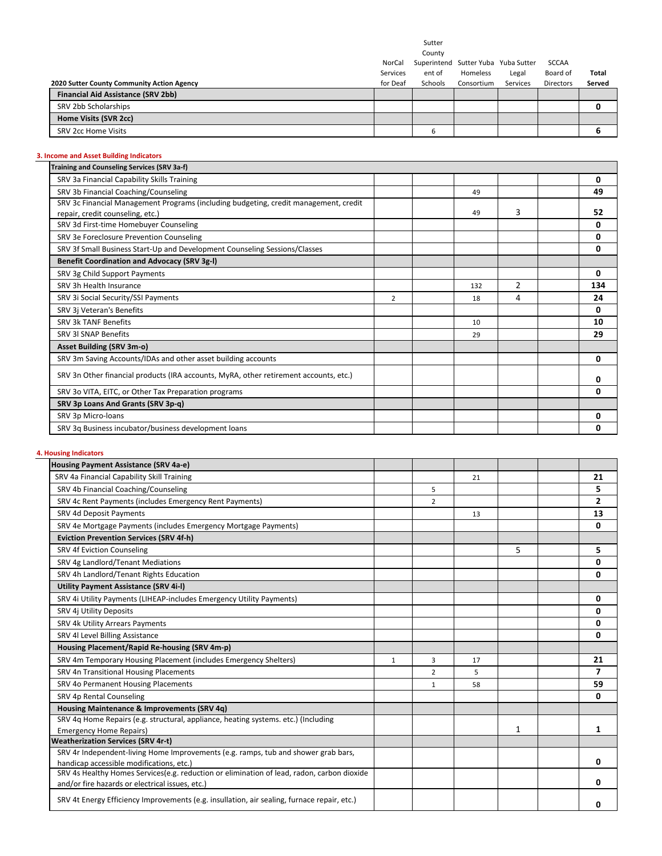Sutter

County

| d Sutter Yuba Yuba Sutter |  |
|---------------------------|--|

|                                            | NorCal   | Superintend Sutter Yuba Yuba Sutter |            |          | SCCAA            |        |
|--------------------------------------------|----------|-------------------------------------|------------|----------|------------------|--------|
|                                            | Services | ent of                              | Homeless   | Legal    | Board of         | Total  |
| 2020 Sutter County Community Action Agency | for Deaf | Schools                             | Consortium | Services | <b>Directors</b> | Served |
| Financial Aid Assistance (SRV 2bb)         |          |                                     |            |          |                  |        |
| SRV 2bb Scholarships                       |          |                                     |            |          |                  |        |
| Home Visits (SVR 2cc)                      |          |                                     |            |          |                  |        |
| SRV 2cc Home Visits                        |          | ь                                   |            |          |                  |        |
|                                            |          |                                     |            |          |                  |        |

# **3. Income and Asset Building Indicators**

| Training and Counseling Services (SRV 3a-f)                                           |                |     |                |     |
|---------------------------------------------------------------------------------------|----------------|-----|----------------|-----|
| SRV 3a Financial Capability Skills Training                                           |                |     |                | 0   |
| SRV 3b Financial Coaching/Counseling                                                  |                | 49  |                | 49  |
| SRV 3c Financial Management Programs (including budgeting, credit management, credit  |                |     |                |     |
| repair, credit counseling, etc.)                                                      |                | 49  | 3              | 52  |
| SRV 3d First-time Homebuyer Counseling                                                |                |     |                | 0   |
| SRV 3e Foreclosure Prevention Counseling                                              |                |     |                | 0   |
| SRV 3f Small Business Start-Up and Development Counseling Sessions/Classes            |                |     |                | 0   |
| <b>Benefit Coordination and Advocacy (SRV 3g-I)</b>                                   |                |     |                |     |
| SRV 3g Child Support Payments                                                         |                |     |                | 0   |
| SRV 3h Health Insurance                                                               |                | 132 | $\overline{2}$ | 134 |
| SRV 3i Social Security/SSI Payments                                                   | $\overline{2}$ | 18  | 4              | 24  |
| SRV 3j Veteran's Benefits                                                             |                |     |                | 0   |
| SRV 3k TANF Benefits                                                                  |                | 10  |                | 10  |
| SRV 3I SNAP Benefits                                                                  |                | 29  |                | 29  |
| <b>Asset Building (SRV 3m-o)</b>                                                      |                |     |                |     |
| SRV 3m Saving Accounts/IDAs and other asset building accounts                         |                |     |                | 0   |
| SRV 3n Other financial products (IRA accounts, MyRA, other retirement accounts, etc.) |                |     |                | 0   |
| SRV 3o VITA, EITC, or Other Tax Preparation programs                                  |                |     |                | 0   |
| SRV 3p Loans And Grants (SRV 3p-q)                                                    |                |     |                |     |
| SRV 3p Micro-loans                                                                    |                |     |                | 0   |
| SRV 3g Business incubator/business development loans                                  |                |     |                | 0   |

### **4. Housing Indicators**

| Housing Payment Assistance (SRV 4a-e)                                                       |   |                |    |              |                |
|---------------------------------------------------------------------------------------------|---|----------------|----|--------------|----------------|
|                                                                                             |   |                |    |              |                |
| SRV 4a Financial Capability Skill Training                                                  |   |                | 21 |              | 21             |
| SRV 4b Financial Coaching/Counseling                                                        |   | 5              |    |              | 5              |
| SRV 4c Rent Payments (includes Emergency Rent Payments)                                     |   | $\overline{2}$ |    |              | $\mathbf{2}$   |
| SRV 4d Deposit Payments                                                                     |   |                | 13 |              | 13             |
| SRV 4e Mortgage Payments (includes Emergency Mortgage Payments)                             |   |                |    |              | 0              |
| <b>Eviction Prevention Services (SRV 4f-h)</b>                                              |   |                |    |              |                |
| SRV 4f Eviction Counseling                                                                  |   |                |    | 5            | 5              |
| SRV 4g Landlord/Tenant Mediations                                                           |   |                |    |              | 0              |
| SRV 4h Landlord/Tenant Rights Education                                                     |   |                |    |              | 0              |
| <b>Utility Payment Assistance (SRV 4i-I)</b>                                                |   |                |    |              |                |
| SRV 4i Utility Payments (LIHEAP-includes Emergency Utility Payments)                        |   |                |    |              | 0              |
| SRV 4j Utility Deposits                                                                     |   |                |    |              | 0              |
| SRV 4k Utility Arrears Payments                                                             |   |                |    |              | 0              |
| SRV 4l Level Billing Assistance                                                             |   |                |    |              | 0              |
| Housing Placement/Rapid Re-housing (SRV 4m-p)                                               |   |                |    |              |                |
| SRV 4m Temporary Housing Placement (includes Emergency Shelters)                            | 1 | 3              | 17 |              | 21             |
| SRV 4n Transitional Housing Placements                                                      |   | $\overline{2}$ | 5  |              | $\overline{ }$ |
| SRV 4o Permanent Housing Placements                                                         |   | $\mathbf{1}$   | 58 |              | 59             |
| SRV 4p Rental Counseling                                                                    |   |                |    |              | 0              |
| Housing Maintenance & Improvements (SRV 4q)                                                 |   |                |    |              |                |
| SRV 4q Home Repairs (e.g. structural, appliance, heating systems. etc.) (Including          |   |                |    |              |                |
| <b>Emergency Home Repairs)</b>                                                              |   |                |    | $\mathbf{1}$ | 1              |
| <b>Weatherization Services (SRV 4r-t)</b>                                                   |   |                |    |              |                |
| SRV 4r Independent-living Home Improvements (e.g. ramps, tub and shower grab bars,          |   |                |    |              |                |
| handicap accessible modifications, etc.)                                                    |   |                |    |              | 0              |
| SRV 4s Healthy Homes Services(e.g. reduction or elimination of lead, radon, carbon dioxide  |   |                |    |              |                |
| and/or fire hazards or electrical issues, etc.)                                             |   |                |    |              | 0              |
| SRV 4t Energy Efficiency Improvements (e.g. insullation, air sealing, furnace repair, etc.) |   |                |    |              | 0              |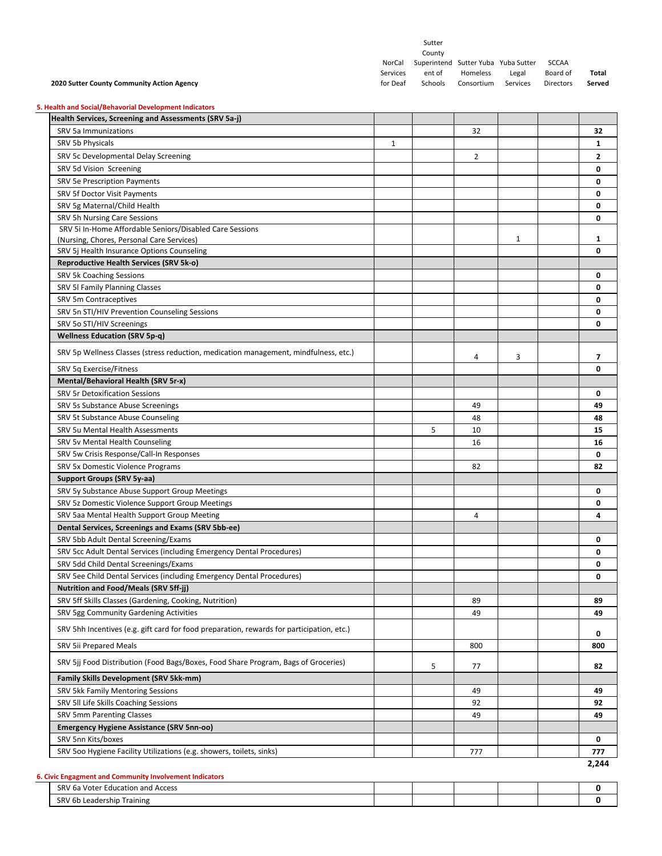|                                                                                                                 |          | Sutter<br>County |                                     |          |              |          |
|-----------------------------------------------------------------------------------------------------------------|----------|------------------|-------------------------------------|----------|--------------|----------|
|                                                                                                                 | NorCal   |                  | Superintend Sutter Yuba Yuba Sutter |          | <b>SCCAA</b> |          |
|                                                                                                                 | Services | ent of           | Homeless                            | Legal    | Board of     | Total    |
| 2020 Sutter County Community Action Agency                                                                      | for Deaf | Schools          | Consortium                          | Services | Directors    | Served   |
|                                                                                                                 |          |                  |                                     |          |              |          |
| 5. Health and Social/Behavorial Development Indicators<br>Health Services, Screening and Assessments (SRV 5a-j) |          |                  |                                     |          |              |          |
| SRV 5a Immunizations                                                                                            |          |                  | 32                                  |          |              | 32       |
| SRV 5b Physicals                                                                                                | 1        |                  |                                     |          |              | 1        |
| SRV 5c Developmental Delay Screening                                                                            |          |                  | 2                                   |          |              | 2        |
|                                                                                                                 |          |                  |                                     |          |              | 0        |
| SRV 5d Vision Screening                                                                                         |          |                  |                                     |          |              | 0        |
| SRV 5e Prescription Payments<br>SRV 5f Doctor Visit Payments                                                    |          |                  |                                     |          |              | 0        |
| SRV 5g Maternal/Child Health                                                                                    |          |                  |                                     |          |              | 0        |
| <b>SRV 5h Nursing Care Sessions</b>                                                                             |          |                  |                                     |          |              | 0        |
| SRV 5i In-Home Affordable Seniors/Disabled Care Sessions                                                        |          |                  |                                     |          |              |          |
| (Nursing, Chores, Personal Care Services)                                                                       |          |                  |                                     | 1        |              | 1        |
| SRV 5j Health Insurance Options Counseling                                                                      |          |                  |                                     |          |              | 0        |
| <b>Reproductive Health Services (SRV 5k-o)</b>                                                                  |          |                  |                                     |          |              |          |
| SRV 5k Coaching Sessions                                                                                        |          |                  |                                     |          |              | 0        |
| SRV 5I Family Planning Classes                                                                                  |          |                  |                                     |          |              | 0        |
| SRV 5m Contraceptives                                                                                           |          |                  |                                     |          |              | 0        |
| SRV 5n STI/HIV Prevention Counseling Sessions                                                                   |          |                  |                                     |          |              | 0        |
| SRV 5o STI/HIV Screenings                                                                                       |          |                  |                                     |          |              | 0        |
| <b>Wellness Education (SRV 5p-q)</b>                                                                            |          |                  |                                     |          |              |          |
| SRV 5p Wellness Classes (stress reduction, medication management, mindfulness, etc.)                            |          |                  |                                     |          |              |          |
|                                                                                                                 |          |                  | 4                                   | 3        |              | 7        |
| SRV 5q Exercise/Fitness                                                                                         |          |                  |                                     |          |              | 0        |
| Mental/Behavioral Health (SRV 5r-x)                                                                             |          |                  |                                     |          |              |          |
| <b>SRV 5r Detoxification Sessions</b>                                                                           |          |                  |                                     |          |              | 0        |
| SRV 5s Substance Abuse Screenings                                                                               |          |                  | 49                                  |          |              | 49       |
| SRV 5t Substance Abuse Counseling                                                                               |          |                  | 48                                  |          |              | 48       |
| SRV 5u Mental Health Assessments                                                                                |          | 5                | 10                                  |          |              | 15       |
| SRV 5v Mental Health Counseling                                                                                 |          |                  | 16                                  |          |              | 16       |
| SRV 5w Crisis Response/Call-In Responses                                                                        |          |                  |                                     |          |              | 0        |
| SRV 5x Domestic Violence Programs                                                                               |          |                  | 82                                  |          |              | 82       |
| Support Groups (SRV 5y-aa)                                                                                      |          |                  |                                     |          |              |          |
| SRV 5y Substance Abuse Support Group Meetings                                                                   |          |                  |                                     |          |              | 0        |
| SRV 5z Domestic Violence Support Group Meetings                                                                 |          |                  |                                     |          |              | 0        |
| SRV 5aa Mental Health Support Group Meeting                                                                     |          |                  | 4                                   |          |              | 4        |
| Dental Services, Screenings and Exams (SRV 5bb-ee)                                                              |          |                  |                                     |          |              |          |
| SRV 5bb Adult Dental Screening/Exams                                                                            |          |                  |                                     |          |              | 0        |
| SRV 5cc Adult Dental Services (including Emergency Dental Procedures)                                           |          |                  |                                     |          |              | 0        |
| SRV 5dd Child Dental Screenings/Exams                                                                           |          |                  |                                     |          |              | 0        |
| SRV 5ee Child Dental Services (including Emergency Dental Procedures)                                           |          |                  |                                     |          |              | 0        |
| Nutrition and Food/Meals (SRV 5ff-jj)                                                                           |          |                  |                                     |          |              |          |
| SRV 5ff Skills Classes (Gardening, Cooking, Nutrition)<br>SRV 5gg Community Gardening Activities                |          |                  | 89                                  |          |              | 89<br>49 |
|                                                                                                                 |          |                  | 49                                  |          |              |          |
| SRV 5hh Incentives (e.g. gift card for food preparation, rewards for participation, etc.)                       |          |                  |                                     |          |              | 0        |
| SRV 5ii Prepared Meals                                                                                          |          |                  | 800                                 |          |              | 800      |
| SRV 5jj Food Distribution (Food Bags/Boxes, Food Share Program, Bags of Groceries)                              |          | 5                | 77                                  |          |              | 82       |
| <b>Family Skills Development (SRV 5kk-mm)</b>                                                                   |          |                  |                                     |          |              |          |
| SRV 5kk Family Mentoring Sessions                                                                               |          |                  | 49                                  |          |              | 49       |
| SRV 5II Life Skills Coaching Sessions                                                                           |          |                  | 92                                  |          |              | 92       |
| SRV 5mm Parenting Classes                                                                                       |          |                  | 49                                  |          |              | 49       |
| <b>Emergency Hygiene Assistance (SRV 5nn-oo)</b>                                                                |          |                  |                                     |          |              |          |
| SRV 5nn Kits/boxes                                                                                              |          |                  |                                     |          |              | 0        |
| SRV 500 Hygiene Facility Utilizations (e.g. showers, toilets, sinks)                                            |          |                  | 777                                 |          |              | 777      |
|                                                                                                                 |          |                  |                                     |          |              | 2,244    |
| 6. Civic Engagment and Community Involvement Indicators                                                         |          |                  |                                     |          |              |          |
| SRV 6a Voter Education and Access                                                                               |          |                  |                                     |          |              | 0        |

**SRV 6b Leadership Training 0**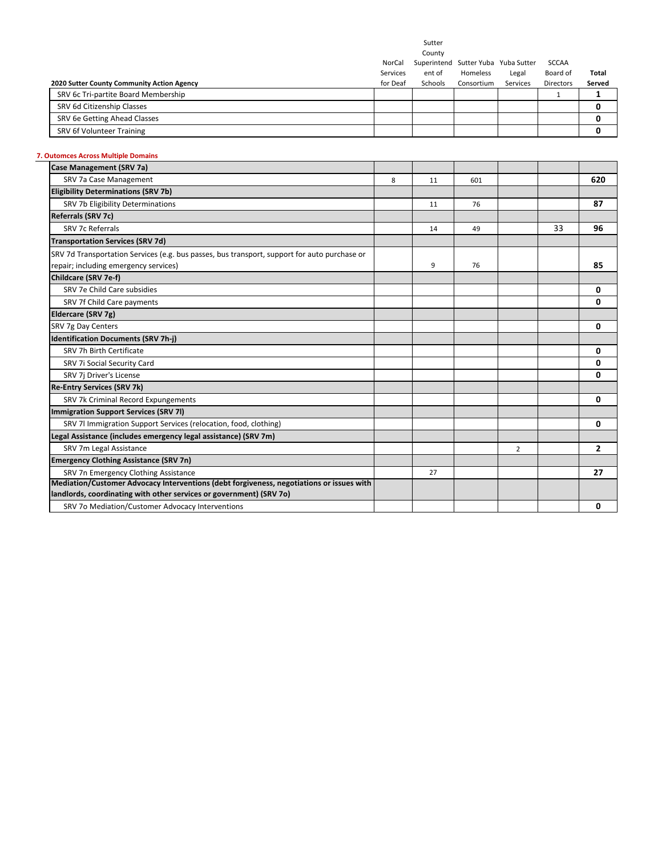Sutter

County

|                                            | NorCal   | Superintend Sutter Yuba Yuba Sutter |            |          | SCCAA            |        |
|--------------------------------------------|----------|-------------------------------------|------------|----------|------------------|--------|
|                                            | Services | ent of                              | Homeless   | Legal    | Board of         | Total  |
| 2020 Sutter County Community Action Agency | for Deaf | Schools                             | Consortium | Services | <b>Directors</b> | Served |
| SRV 6c Tri-partite Board Membership        |          |                                     |            |          |                  |        |
| SRV 6d Citizenship Classes                 |          |                                     |            |          |                  |        |
| SRV 6e Getting Ahead Classes               |          |                                     |            |          |                  |        |
| SRV 6f Volunteer Training                  |          |                                     |            |          |                  |        |
|                                            |          |                                     |            |          |                  |        |

#### **7. Outomces Across Multiple Domains**

| <b>Case Management (SRV 7a)</b>                                                                                                       |   |    |     |                |    |                |
|---------------------------------------------------------------------------------------------------------------------------------------|---|----|-----|----------------|----|----------------|
| SRV 7a Case Management                                                                                                                | 8 | 11 | 601 |                |    | 620            |
| <b>Eligibility Determinations (SRV 7b)</b>                                                                                            |   |    |     |                |    |                |
| SRV 7b Eligibility Determinations                                                                                                     |   | 11 | 76  |                |    | 87             |
| Referrals (SRV 7c)                                                                                                                    |   |    |     |                |    |                |
| <b>SRV 7c Referrals</b>                                                                                                               |   | 14 | 49  |                | 33 | 96             |
| <b>Transportation Services (SRV 7d)</b>                                                                                               |   |    |     |                |    |                |
| SRV 7d Transportation Services (e.g. bus passes, bus transport, support for auto purchase or<br>repair; including emergency services) |   | 9  | 76  |                |    | 85             |
| Childcare (SRV 7e-f)                                                                                                                  |   |    |     |                |    |                |
| SRV 7e Child Care subsidies                                                                                                           |   |    |     |                |    | 0              |
| SRV 7f Child Care payments                                                                                                            |   |    |     |                |    | 0              |
| Eldercare (SRV 7g)                                                                                                                    |   |    |     |                |    |                |
| SRV 7g Day Centers                                                                                                                    |   |    |     |                |    | 0              |
| <b>Identification Documents (SRV 7h-j)</b>                                                                                            |   |    |     |                |    |                |
| SRV 7h Birth Certificate                                                                                                              |   |    |     |                |    | 0              |
| SRV 7i Social Security Card                                                                                                           |   |    |     |                |    | 0              |
| SRV 7j Driver's License                                                                                                               |   |    |     |                |    | 0              |
| <b>Re-Entry Services (SRV 7k)</b>                                                                                                     |   |    |     |                |    |                |
| SRV 7k Criminal Record Expungements                                                                                                   |   |    |     |                |    | 0              |
| Immigration Support Services (SRV 7I)                                                                                                 |   |    |     |                |    |                |
| SRV 7I Immigration Support Services (relocation, food, clothing)                                                                      |   |    |     |                |    | 0              |
| Legal Assistance (includes emergency legal assistance) (SRV 7m)                                                                       |   |    |     |                |    |                |
| SRV 7m Legal Assistance                                                                                                               |   |    |     | $\overline{2}$ |    | $\overline{2}$ |
| <b>Emergency Clothing Assistance (SRV 7n)</b>                                                                                         |   |    |     |                |    |                |
| SRV 7n Emergency Clothing Assistance                                                                                                  |   | 27 |     |                |    | 27             |
| Mediation/Customer Advocacy Interventions (debt forgiveness, negotiations or issues with                                              |   |    |     |                |    |                |
| landlords, coordinating with other services or government) (SRV 70)                                                                   |   |    |     |                |    |                |
| SRV 7o Mediation/Customer Advocacy Interventions                                                                                      |   |    |     |                |    | 0              |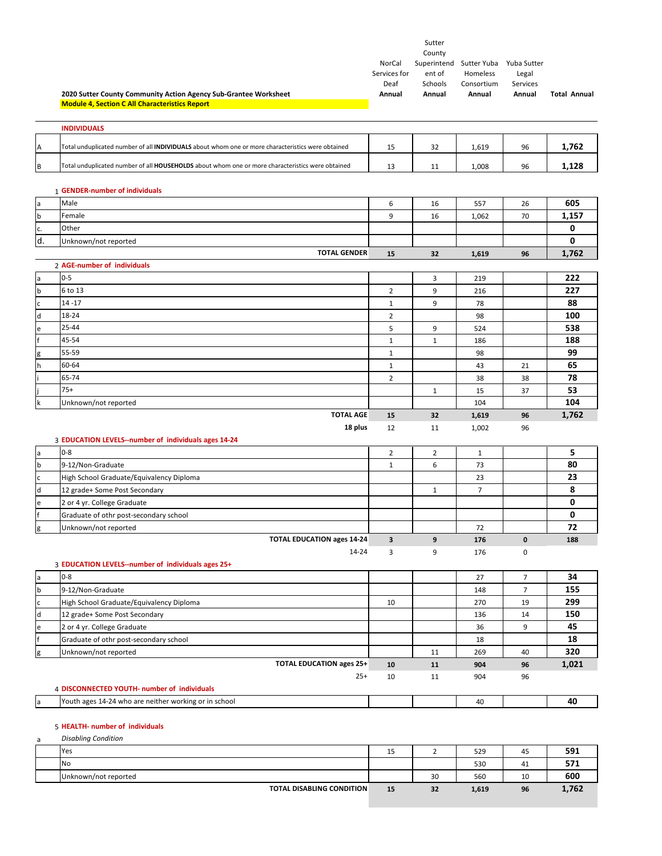|                   | 2020 Sutter County Community Action Agency Sub-Grantee Worksheet<br><b>Module 4, Section C All Characteristics Report</b> | NorCal<br>Services for<br>Deaf<br>Annual | Sutter<br>County<br>ent of<br>Schools<br>Annual | Superintend Sutter Yuba Yuba Sutter<br>Homeless<br>Consortium<br>Annual | Legal<br>Services<br>Annual | <b>Total Annual</b> |
|-------------------|---------------------------------------------------------------------------------------------------------------------------|------------------------------------------|-------------------------------------------------|-------------------------------------------------------------------------|-----------------------------|---------------------|
|                   | <b>INDIVIDUALS</b>                                                                                                        |                                          |                                                 |                                                                         |                             |                     |
| Α                 | Total unduplicated number of all INDIVIDUALS about whom one or more characteristics were obtained                         | 15                                       | 32                                              | 1,619                                                                   | 96                          | 1,762               |
| B                 | Total unduplicated number of all HOUSEHOLDS about whom one or more characteristics were obtained                          | 13                                       | 11                                              | 1,008                                                                   | 96                          | 1,128               |
|                   | 1 GENDER-number of individuals                                                                                            |                                          |                                                 |                                                                         |                             |                     |
| a                 | Male                                                                                                                      | 6                                        | 16                                              | 557                                                                     | 26                          | 605                 |
| $\sf b$           | Female                                                                                                                    | 9                                        | 16                                              | 1,062                                                                   | 70                          | 1,157               |
| c.                | Other                                                                                                                     |                                          |                                                 |                                                                         |                             | 0                   |
| d.                | Unknown/not reported                                                                                                      |                                          |                                                 |                                                                         |                             | 0                   |
|                   | <b>TOTAL GENDER</b>                                                                                                       | 15                                       | 32                                              | 1,619                                                                   | 96                          | 1,762               |
|                   | 2 AGE-number of individuals                                                                                               |                                          |                                                 |                                                                         |                             |                     |
| $\mathsf{a}$      | $0 - 5$                                                                                                                   |                                          | 3                                               | 219                                                                     |                             | 222                 |
| $\sf b$           | 6 to 13                                                                                                                   | $\overline{2}$                           | 9                                               | 216                                                                     |                             | 227                 |
| $\mathsf c$       | $14 - 17$                                                                                                                 | $\mathbf{1}$                             | 9                                               | 78                                                                      |                             | 88                  |
| $\mathsf{d}$      | 18-24                                                                                                                     | $\overline{2}$                           |                                                 | 98                                                                      |                             | 100                 |
| e                 | $25 - 44$                                                                                                                 | 5                                        | 9                                               | 524                                                                     |                             | 538                 |
|                   | 45-54                                                                                                                     | $1\,$                                    | $\mathbf{1}$                                    | 186                                                                     |                             | 188                 |
| g                 | 55-59                                                                                                                     | $\mathbf{1}$                             |                                                 | 98                                                                      |                             | 99                  |
| h                 | 60-64                                                                                                                     | $\mathbf{1}$                             |                                                 | 43                                                                      | 21                          | 65                  |
|                   | 65-74                                                                                                                     | $\overline{2}$                           |                                                 | 38                                                                      | 38                          | 78                  |
|                   | $75+$                                                                                                                     |                                          | $\mathbf{1}$                                    | 15                                                                      | 37                          | 53                  |
| k                 | Unknown/not reported                                                                                                      |                                          |                                                 | 104                                                                     |                             | 104                 |
|                   | <b>TOTAL AGE</b>                                                                                                          | 15                                       | 32                                              | 1,619                                                                   | 96                          | 1,762               |
|                   |                                                                                                                           |                                          |                                                 |                                                                         |                             |                     |
|                   | 18 plus<br>3 EDUCATION LEVELS--number of individuals ages 14-24                                                           | 12                                       | 11                                              | 1,002                                                                   | 96                          |                     |
| $\mathsf{a}$      | $0 - 8$                                                                                                                   | $\overline{2}$                           | $\overline{2}$                                  | $\mathbf{1}$                                                            |                             | 5                   |
| $\sf b$           | 9-12/Non-Graduate                                                                                                         | $\mathbf{1}$                             | 6                                               | 73                                                                      |                             | 80                  |
| C                 | High School Graduate/Equivalency Diploma                                                                                  |                                          |                                                 | 23                                                                      |                             | 23                  |
| $\sf d$           | 12 grade+ Some Post Secondary                                                                                             |                                          | $\mathbf{1}$                                    | $\overline{7}$                                                          |                             | 8                   |
| e                 |                                                                                                                           |                                          |                                                 |                                                                         |                             | 0                   |
|                   | 2 or 4 yr. College Graduate<br>Graduate of othr post-secondary school                                                     |                                          |                                                 |                                                                         |                             | 0                   |
|                   | Unknown/not reported                                                                                                      |                                          |                                                 | 72                                                                      |                             | 72                  |
| g                 | <b>TOTAL EDUCATION ages 14-24</b>                                                                                         | $\overline{\mathbf{3}}$                  | 9                                               | 176                                                                     | $\pmb{0}$                   | 188                 |
|                   | 14-24                                                                                                                     | 3                                        | 9                                               | 176                                                                     | 0                           |                     |
|                   | 3 EDUCATION LEVELS--number of individuals ages 25+                                                                        |                                          |                                                 |                                                                         |                             |                     |
| $\mathsf{a}$      | $0 - 8$                                                                                                                   |                                          |                                                 | 27                                                                      | 7                           | 34                  |
| b                 | 9-12/Non-Graduate                                                                                                         |                                          |                                                 | 148                                                                     | $\overline{7}$              | 155                 |
| $\mathsf{C}$      | High School Graduate/Equivalency Diploma                                                                                  | 10                                       |                                                 | 270                                                                     | 19                          | 299                 |
| ${\sf d}$         | 12 grade+ Some Post Secondary                                                                                             |                                          |                                                 | 136                                                                     | 14                          | 150                 |
| e                 |                                                                                                                           |                                          |                                                 | 36                                                                      | 9                           | 45                  |
|                   | 2 or 4 yr. College Graduate                                                                                               |                                          |                                                 | 18                                                                      |                             | 18                  |
|                   | Graduate of othr post-secondary school<br>Unknown/not reported                                                            |                                          | 11                                              | 269                                                                     | 40                          | 320                 |
| g                 | <b>TOTAL EDUCATION ages 25+</b>                                                                                           | 10                                       | 11                                              | 904                                                                     | 96                          |                     |
|                   | $25+$                                                                                                                     | 10                                       | 11                                              | 904                                                                     | 96                          | 1,021               |
|                   | 4 DISCONNECTED YOUTH- number of individuals                                                                               |                                          |                                                 |                                                                         |                             | 40                  |
| $\mathsf{a}$<br>a | Youth ages 14-24 who are neither working or in school<br>5 HEALTH- number of individuals<br><b>Disabling Condition</b>    |                                          |                                                 | 40                                                                      |                             |                     |
|                   | Yes                                                                                                                       |                                          |                                                 |                                                                         |                             | 591                 |
|                   | No                                                                                                                        | 15                                       | $\overline{2}$                                  | 529<br>530                                                              | 45<br>41                    | 571                 |

**TOTAL DISABLING CONDITION 15 32 1,619 96 1,762**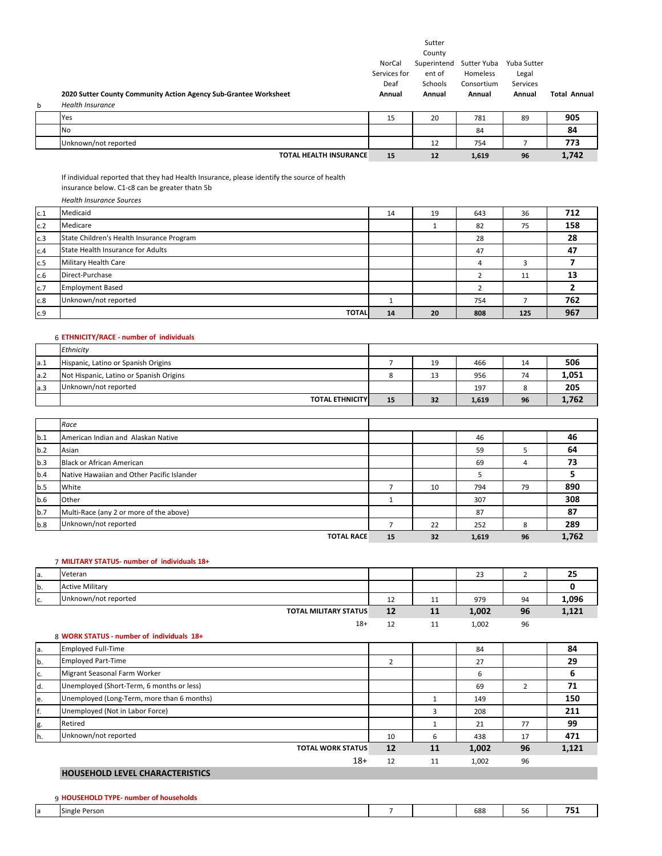|   |                                                                  |                                          | Sutter<br>County                           |                                                 |                                            |                     |
|---|------------------------------------------------------------------|------------------------------------------|--------------------------------------------|-------------------------------------------------|--------------------------------------------|---------------------|
|   | 2020 Sutter County Community Action Agency Sub-Grantee Worksheet | NorCal<br>Services for<br>Deaf<br>Annual | Superintend<br>ent of<br>Schools<br>Annual | Sutter Yuba<br>Homeless<br>Consortium<br>Annual | Yuba Sutter<br>Legal<br>Services<br>Annual | <b>Total Annual</b> |
| b | <b>Health Insurance</b>                                          |                                          |                                            |                                                 |                                            |                     |
|   | Yes                                                              | 15                                       | 20                                         | 781                                             | 89                                         | 905                 |
|   | <b>No</b>                                                        |                                          |                                            | 84                                              |                                            | 84                  |
|   | Unknown/not reported                                             |                                          | 12                                         | 754                                             |                                            | 773                 |
|   | <b>TOTAL HEALTH INSURANCE</b>                                    | 15                                       | 12                                         | 1,619                                           | 96                                         | 1,742               |
|   | .                                                                |                                          |                                            |                                                 |                                            |                     |

If individual reported that they had Health Insurance, please identify the source of health

insurance below. C1‐c8 can be greater thatn 5b *Health Insurance Sources*

| Medicaid                                  | 14 | 19           | 643 | 36  | 712 |
|-------------------------------------------|----|--------------|-----|-----|-----|
| Medicare                                  |    |              | 82  | 75  | 158 |
| State Children's Health Insurance Program |    |              | 28  |     | 28  |
| State Health Insurance for Adults         |    |              | 47  |     | 47  |
| Military Health Care                      |    |              | 4   |     |     |
| Direct-Purchase                           |    |              |     | 11  | 13  |
| <b>Employment Based</b>                   |    |              |     |     |     |
| Unknown/not reported                      |    |              | 754 |     | 762 |
|                                           | 14 | 20           | 808 | 125 | 967 |
|                                           |    | <b>TOTAL</b> |     |     |     |

#### 6 **ETHNICITY/RACE ‐ number of individuals**

|     | Ethnicity                               |    |    |       |    |       |
|-----|-----------------------------------------|----|----|-------|----|-------|
| a.1 | Hispanic, Latino or Spanish Origins     |    | 19 | 466   | 14 | 506   |
| a.2 | Not Hispanic, Latino or Spanish Origins |    | ⊥⊐ | 956   | 74 | 1,051 |
| a.3 | Unknown/not reported                    |    |    | 197   |    | 205   |
|     | <b>TOTAL ETHNICITY</b>                  | 15 | 32 | 1,619 | 96 | 1.762 |

|     | Race                                       |    |    |       |        |       |
|-----|--------------------------------------------|----|----|-------|--------|-------|
| b.1 | American Indian and Alaskan Native         |    |    | 46    |        | 46    |
| b.2 | Asian                                      |    |    | 59    |        | 64    |
| b.3 | <b>Black or African American</b>           |    |    | 69    | 4      | 73    |
| b.4 | Native Hawaiian and Other Pacific Islander |    |    |       |        |       |
| b.5 | White                                      |    | 10 | 794   | 79     | 890   |
| b.6 | Other                                      |    |    | 307   |        | 308   |
| b.7 | Multi-Race (any 2 or more of the above)    |    |    | 87    |        | 87    |
| b.8 | Unknown/not reported                       |    | 22 | 252   | Ω<br>ö | 289   |
|     | <b>TOTAL RACE</b>                          | 15 | 32 | 1,619 | 96     | 1,762 |

| 7 MILITARY STATUS- number of individuals 18+ |  |
|----------------------------------------------|--|
|----------------------------------------------|--|

| la. | Veteran                      |    |            | دے    |    | ~-<br>25 |
|-----|------------------------------|----|------------|-------|----|----------|
| b.  | <b>Active Military</b>       |    |            |       |    |          |
| IC. | Unknown/not reported         | ᅩᄼ | <b>. .</b> | 979   | 94 | L,096    |
|     | <b>TOTAL MILITARY STATUS</b> | 12 | TT         | 1,002 | 96 | 1,121    |

| 1,002 |
|-------|
|-------|

|     | 8 WORK STATUS - number of individuals 18+  |    |    |       |    |       |
|-----|--------------------------------------------|----|----|-------|----|-------|
| la. | <b>Employed Full-Time</b>                  |    |    | 84    |    | 84    |
| b.  | <b>Employed Part-Time</b>                  | 2  |    | 27    |    | 29    |
| Ic. | Migrant Seasonal Farm Worker               |    |    | 6     |    | 6     |
| d.  | Unemployed (Short-Term, 6 months or less)  |    |    | 69    |    | 71    |
| e.  | Unemployed (Long-Term, more than 6 months) |    |    | 149   |    | 150   |
| f.  | Unemployed (Not in Labor Force)            |    |    | 208   |    | 211   |
| g.  | Retired                                    |    |    | 21    | 77 | 99    |
| lh. | Unknown/not reported                       | 10 | b  | 438   | 17 | 471   |
|     | <b>TOTAL WORK STATUS</b>                   | 12 | 11 | 1,002 | 96 | 1,121 |
|     | $18+$                                      | 12 | 11 | 1,002 | 96 |       |

#### **HOUSEHOLD LEVEL CHARACTERISTICS**

#### 9 **HOUSEHOLD TYPE‐ number of households**

| <b>Single Person</b> |  | 688 | מכ | $- -$ |
|----------------------|--|-----|----|-------|
|                      |  |     |    |       |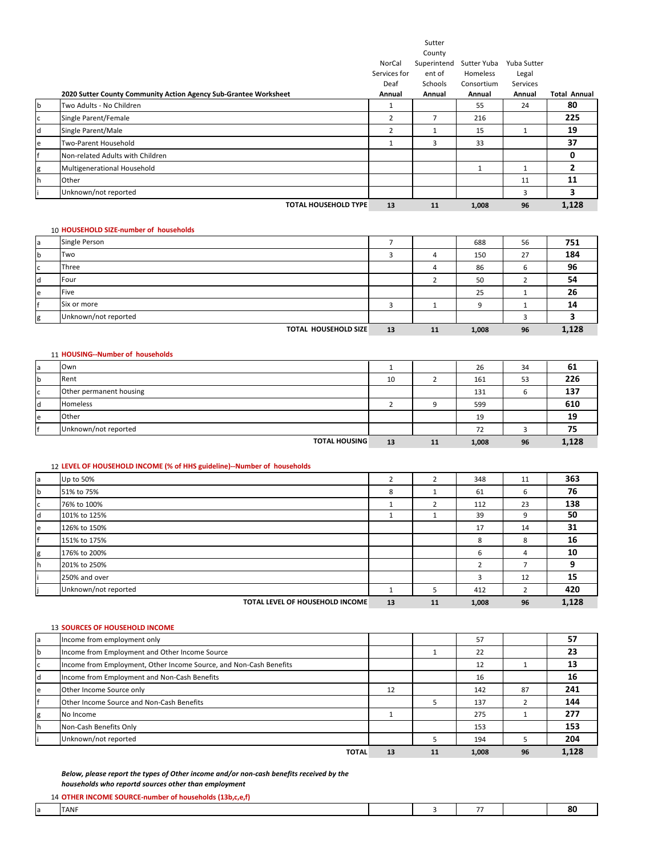|              |                                                                  |              | Sutter      |             |             |                     |
|--------------|------------------------------------------------------------------|--------------|-------------|-------------|-------------|---------------------|
|              |                                                                  |              | County      |             |             |                     |
|              |                                                                  | NorCal       | Superintend | Sutter Yuba | Yuba Sutter |                     |
|              |                                                                  | Services for | ent of      | Homeless    | Legal       |                     |
|              |                                                                  | Deaf         | Schools     | Consortium  | Services    |                     |
|              | 2020 Sutter County Community Action Agency Sub-Grantee Worksheet | Annual       | Annual      | Annual      | Annual      | <b>Total Annual</b> |
| b            | Two Adults - No Children                                         |              |             | 55          | 24          | 80                  |
| $\mathsf{C}$ | Single Parent/Female                                             | 2            | 7           | 216         |             | 225                 |
| l d          | Single Parent/Male                                               | 2            |             | 15          | 1           | 19                  |
| e            | Two-Parent Household                                             |              | 3           | 33          |             | 37                  |
| f            | Non-related Adults with Children                                 |              |             |             |             | 0                   |
| g            | Multigenerational Household                                      |              |             |             | 1           | 2                   |
| lh.          | Other                                                            |              |             |             | 11          | 11                  |
|              | Unknown/not reported                                             |              |             |             | 3           | 3                   |
|              | <b>TOTAL HOUSEHOLD TYPE</b>                                      | 13           | 11          | 1,008       | 96          | 1,128               |
|              |                                                                  |              |             |             |             |                     |

#### 10 **HOUSEHOLD SIZE‐number of households**

| la       | Single Person               |    |    | 688   | 56 | 751   |
|----------|-----------------------------|----|----|-------|----|-------|
| <b>b</b> | Two                         |    |    | 150   | 27 | 184   |
| Ic       | Three                       |    |    | 86    |    | 96    |
| ld       | Four                        |    |    | 50    |    | 54    |
| le       | Five                        |    |    | 25    |    | 26    |
|          | Six or more                 |    |    |       |    | 14    |
| g        | Unknown/not reported        |    |    |       |    |       |
|          | <b>TOTAL HOUSEHOLD SIZE</b> | 13 | 11 | 1,008 | 96 | 1,128 |

#### 11 **HOUSING‐‐Number of households**

| a   | Own                     |    |    | 26    | 34 | 61    |
|-----|-------------------------|----|----|-------|----|-------|
| b   | Rent                    | 10 |    | 161   | 53 | 226   |
| C   | Other permanent housing |    |    | 131   |    | 137   |
| ld. | <b>Homeless</b>         |    |    | 599   |    | 610   |
| e   | Other                   |    |    | 19    |    | 19    |
|     | Unknown/not reported    |    |    | 72    |    | 75    |
|     | <b>TOTAL HOUSING</b>    | 13 | 11 | 1,008 | 96 | 1.128 |

#### 12 **LEVEL OF HOUSEHOLD INCOME (% of HHS guideline)‐‐Number of households**

| la       | Up to 50%                       |    |    | 348                     | 11 | 363   |
|----------|---------------------------------|----|----|-------------------------|----|-------|
| <b>b</b> | 51% to 75%                      | 8  |    | 61                      | ь  | 76    |
| Iс       | 76% to 100%                     |    |    | 112                     | 23 | 138   |
| <b>d</b> | 101% to 125%                    |    |    | 39                      | 9  | 50    |
| le       | 126% to 150%                    |    |    | 17                      | 14 | 31    |
| f        | 151% to 175%                    |    |    | 8                       | 8  | 16    |
| g        | 176% to 200%                    |    |    | 6                       | 4  | 10    |
| h        | 201% to 250%                    |    |    | <sup>-</sup>            |    | 9     |
|          | 250% and over                   |    |    | $\overline{\mathbf{a}}$ | 12 | 15    |
|          | Unknown/not reported            |    |    | 412                     |    | 420   |
|          | TOTAL LEVEL OF HOUSEHOLD INCOME | 13 | 11 | 1,008                   | 96 | 1,128 |

#### 13 **SOURCES OF HOUSEHOLD INCOME**

| la | Income from employment only                                        |    |    | 57    |    | 57    |
|----|--------------------------------------------------------------------|----|----|-------|----|-------|
| lb | Income from Employment and Other Income Source                     |    |    | 22    |    | 23    |
| lc | Income from Employment, Other Income Source, and Non-Cash Benefits |    |    | 12    |    | 13    |
| Id | Income from Employment and Non-Cash Benefits                       |    |    | 16    |    | 16    |
| e  | Other Income Source only                                           | 12 |    | 142   | 87 | 241   |
|    | Other Income Source and Non-Cash Benefits                          |    |    | 137   |    | 144   |
| lg | No Income                                                          |    |    | 275   |    | 277   |
| ۱h | Non-Cash Benefits Only                                             |    |    | 153   |    | 153   |
|    | Unknown/not reported                                               |    |    | 194   |    | 204   |
|    | <b>TOTAL</b>                                                       | 13 | 11 | 1,008 | 96 | 1.128 |

*Below, please report the types of Other income and/or non‐cash benefits received by the households who reportd sources other than employment*

# 14 **OTHER INCOME SOURCE‐number of households (13b,c,e,f)**

| <b>TANF</b> |  | $\overline{\phantom{a}}$ | $\Omega$<br>0U |
|-------------|--|--------------------------|----------------|
|             |  |                          |                |